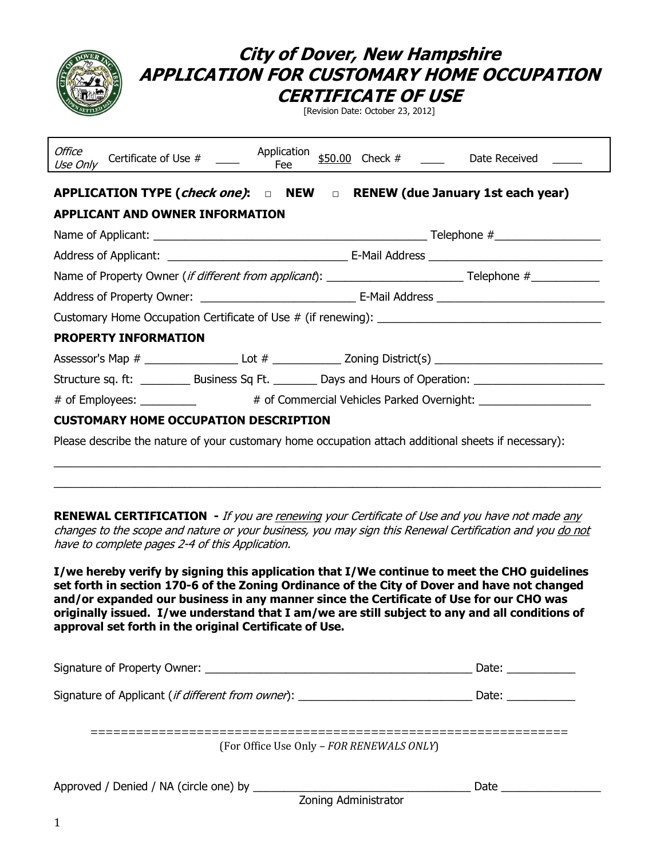|                                                                                                                | City of Dover, New Hampshire | <i><b>CERTIFICATE OF USE</b></i><br>[Revision Date: October 23, 2012] | APPLICATION FOR CUSTOMARY HOME OCCUPATION            |
|----------------------------------------------------------------------------------------------------------------|------------------------------|-----------------------------------------------------------------------|------------------------------------------------------|
| Office<br>Certificate of Use # ____<br>Use Only                                                                |                              |                                                                       | Application $$50.00$ Check # ____ Date Received ____ |
| APPLICATION TYPE ( <i>check one)</i> : $\Box$ NEW $\Box$ RENEW (due January 1st each year)                     |                              |                                                                       |                                                      |
| <b>APPLICANT AND OWNER INFORMATION</b>                                                                         |                              |                                                                       |                                                      |
|                                                                                                                |                              |                                                                       |                                                      |
|                                                                                                                |                              |                                                                       |                                                      |
|                                                                                                                |                              |                                                                       |                                                      |
|                                                                                                                |                              |                                                                       |                                                      |
|                                                                                                                |                              |                                                                       |                                                      |
| <b>PROPERTY INFORMATION</b>                                                                                    |                              |                                                                       |                                                      |
| Assessor's Map # _____________________Lot # ___________________Zoning District(s) ____________________________ |                              |                                                                       |                                                      |
| Structure sq. ft: ___________ Business Sq Ft. _________ Days and Hours of Operation: ________________________  |                              |                                                                       |                                                      |
| # of Employees: ___________ # of Commercial Vehicles Parked Overnight: ________________                        |                              |                                                                       |                                                      |
| <b>CUSTOMARY HOME OCCUPATION DESCRIPTION</b>                                                                   |                              |                                                                       |                                                      |
| Please describe the nature of your customary home occupation attach additional sheets if necessary):           |                              |                                                                       |                                                      |

**RENEWAL CERTIFICATION** - If you are renewing your Certificate of Use and you have not made any changes to the scope and nature or your business, you may sign this Renewal Certification and you do not have to complete pages 2-4 of this Application.

 $\_$  . The contribution of the contribution of the contribution of the contribution of the contribution of the contribution of the contribution of the contribution of the contribution of the contribution of the contributio

**I/we hereby verify by signing this application that I/We continue to meet the CHO guidelines set forth in section 170-6 of the Zoning Ordinance of the City of Dover and have not changed and/or expanded our business in any manner since the Certificate of Use for our CHO was originally issued. I/we understand that I am/we are still subject to any and all conditions of approval set forth in the original Certificate of Use.** 

|                                                            | Date: and the state of the state of the state of the state of the state of the state of the state of the state of the state of the state of the state of the state of the state of the state of the state of the state of the |  |
|------------------------------------------------------------|-------------------------------------------------------------------------------------------------------------------------------------------------------------------------------------------------------------------------------|--|
| Signature of Applicant ( <i>if different from owner</i> ): | Date: ___________                                                                                                                                                                                                             |  |
| (For Office Use Only - FOR RENEWALS ONLY)                  |                                                                                                                                                                                                                               |  |
| Zoning Administrator                                       | Date                                                                                                                                                                                                                          |  |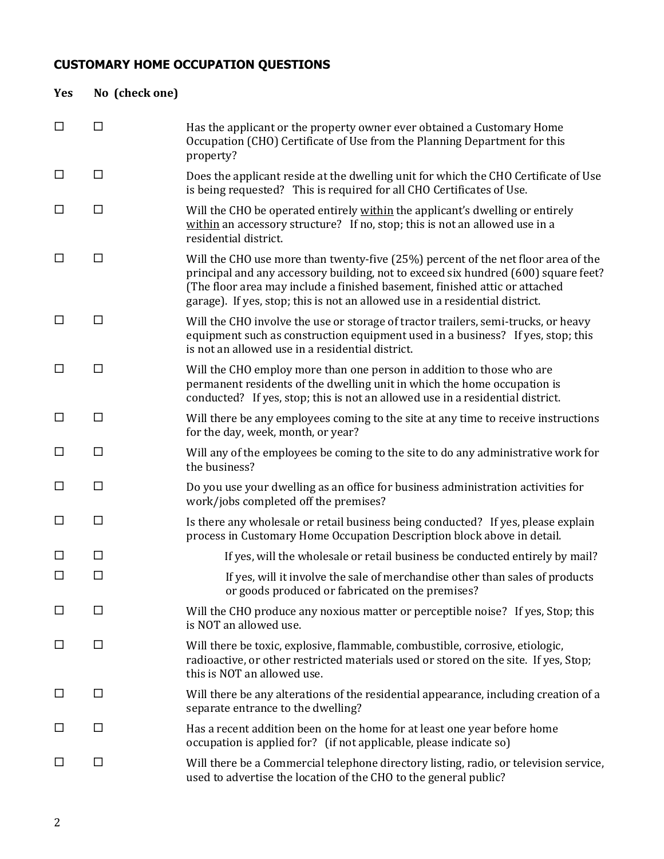# **CUSTOMARY HOME OCCUPATION QUESTIONS**

| Yes    | No (check one) |                                                                                                                                                                                                                                                                                                                                        |
|--------|----------------|----------------------------------------------------------------------------------------------------------------------------------------------------------------------------------------------------------------------------------------------------------------------------------------------------------------------------------------|
| □      | $\Box$         | Has the applicant or the property owner ever obtained a Customary Home<br>Occupation (CHO) Certificate of Use from the Planning Department for this<br>property?                                                                                                                                                                       |
| $\Box$ | □              | Does the applicant reside at the dwelling unit for which the CHO Certificate of Use<br>is being requested? This is required for all CHO Certificates of Use.                                                                                                                                                                           |
| $\Box$ | $\Box$         | Will the CHO be operated entirely within the applicant's dwelling or entirely<br>within an accessory structure? If no, stop; this is not an allowed use in a<br>residential district.                                                                                                                                                  |
| □      | $\Box$         | Will the CHO use more than twenty-five (25%) percent of the net floor area of the<br>principal and any accessory building, not to exceed six hundred (600) square feet?<br>(The floor area may include a finished basement, finished attic or attached<br>garage). If yes, stop; this is not an allowed use in a residential district. |
| □      | $\Box$         | Will the CHO involve the use or storage of tractor trailers, semi-trucks, or heavy<br>equipment such as construction equipment used in a business? If yes, stop; this<br>is not an allowed use in a residential district.                                                                                                              |
| $\Box$ | $\Box$         | Will the CHO employ more than one person in addition to those who are<br>permanent residents of the dwelling unit in which the home occupation is<br>conducted? If yes, stop; this is not an allowed use in a residential district.                                                                                                    |
| □      | $\Box$         | Will there be any employees coming to the site at any time to receive instructions<br>for the day, week, month, or year?                                                                                                                                                                                                               |
| □      | $\Box$         | Will any of the employees be coming to the site to do any administrative work for<br>the business?                                                                                                                                                                                                                                     |
| □      | $\Box$         | Do you use your dwelling as an office for business administration activities for<br>work/jobs completed off the premises?                                                                                                                                                                                                              |
| □      | □              | Is there any wholesale or retail business being conducted? If yes, please explain<br>process in Customary Home Occupation Description block above in detail.                                                                                                                                                                           |
| $\Box$ | □              | If yes, will the wholesale or retail business be conducted entirely by mail?                                                                                                                                                                                                                                                           |
| □      | □              | If yes, will it involve the sale of merchandise other than sales of products<br>or goods produced or fabricated on the premises?                                                                                                                                                                                                       |
| □      | □              | Will the CHO produce any noxious matter or perceptible noise? If yes, Stop; this<br>is NOT an allowed use.                                                                                                                                                                                                                             |
| ப      | $\Box$         | Will there be toxic, explosive, flammable, combustible, corrosive, etiologic,<br>radioactive, or other restricted materials used or stored on the site. If yes, Stop;<br>this is NOT an allowed use.                                                                                                                                   |
| ப      | $\Box$         | Will there be any alterations of the residential appearance, including creation of a<br>separate entrance to the dwelling?                                                                                                                                                                                                             |
| ப      | □              | Has a recent addition been on the home for at least one year before home<br>occupation is applied for? (if not applicable, please indicate so)                                                                                                                                                                                         |
| ப      | $\Box$         | Will there be a Commercial telephone directory listing, radio, or television service,<br>used to advertise the location of the CHO to the general public?                                                                                                                                                                              |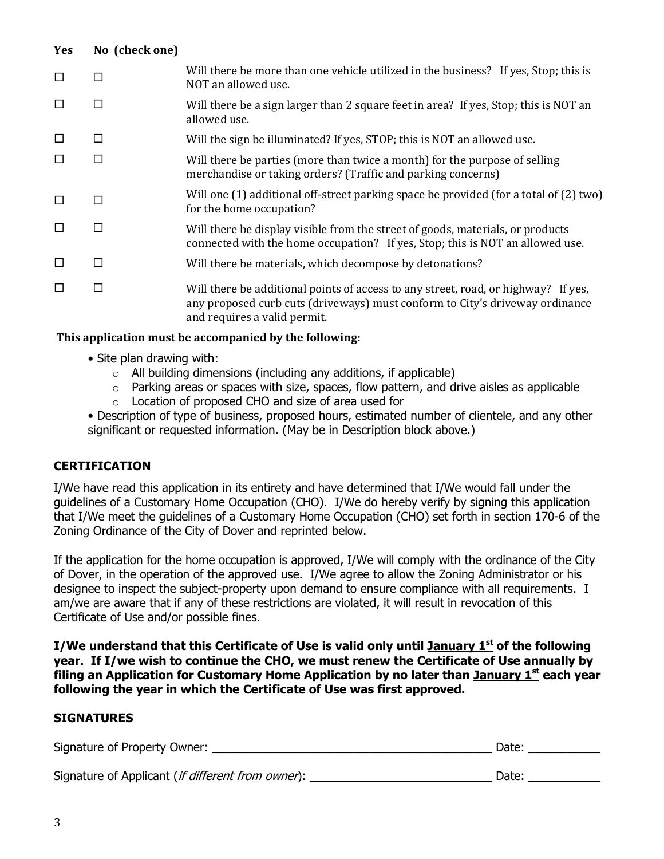| <b>Yes</b> | No (check one) |                                                                                                                                                                                                    |
|------------|----------------|----------------------------------------------------------------------------------------------------------------------------------------------------------------------------------------------------|
| $\Box$     | □              | Will there be more than one vehicle utilized in the business? If yes, Stop; this is<br>NOT an allowed use.                                                                                         |
| □          | □              | Will there be a sign larger than 2 square feet in area? If yes, Stop; this is NOT an<br>allowed use.                                                                                               |
| □          | □              | Will the sign be illuminated? If yes, STOP; this is NOT an allowed use.                                                                                                                            |
| $\Box$     | □              | Will there be parties (more than twice a month) for the purpose of selling<br>merchandise or taking orders? (Traffic and parking concerns)                                                         |
| $\Box$     | П              | Will one (1) additional off-street parking space be provided (for a total of (2) two)<br>for the home occupation?                                                                                  |
| $\Box$     | П              | Will there be display visible from the street of goods, materials, or products<br>connected with the home occupation? If yes, Stop; this is NOT an allowed use.                                    |
| $\Box$     | □              | Will there be materials, which decompose by detonations?                                                                                                                                           |
| $\Box$     | □              | Will there be additional points of access to any street, road, or highway? If yes,<br>any proposed curb cuts (driveways) must conform to City's driveway ordinance<br>and requires a valid permit. |

## **This application must be accompanied by the following:**

- Site plan drawing with:
	- $\circ$  All building dimensions (including any additions, if applicable)
	- $\circ$  Parking areas or spaces with size, spaces, flow pattern, and drive aisles as applicable
	- $\circ$  Location of proposed CHO and size of area used for

• Description of type of business, proposed hours, estimated number of clientele, and any other significant or requested information. (May be in Description block above.)

## **CERTIFICATION**

I/We have read this application in its entirety and have determined that I/We would fall under the guidelines of a Customary Home Occupation (CHO). I/We do hereby verify by signing this application that I/We meet the guidelines of a Customary Home Occupation (CHO) set forth in section 170-6 of the Zoning Ordinance of the City of Dover and reprinted below.

If the application for the home occupation is approved, I/We will comply with the ordinance of the City of Dover, in the operation of the approved use. I/We agree to allow the Zoning Administrator or his designee to inspect the subject-property upon demand to ensure compliance with all requirements. I am/we are aware that if any of these restrictions are violated, it will result in revocation of this Certificate of Use and/or possible fines.

**I/We understand that this Certificate of Use is valid only until January 1st of the following year. If I/we wish to continue the CHO, we must renew the Certificate of Use annually by filing an Application for Customary Home Application by no later than January 1st each year following the year in which the Certificate of Use was first approved.** 

#### **SIGNATURES**

| Signature of Property Owner:                               | Date: |
|------------------------------------------------------------|-------|
| Signature of Applicant ( <i>if different from owner</i> ): | Date: |